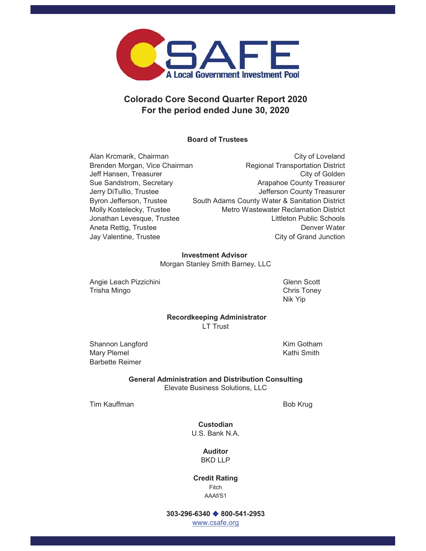

# **Colorado Core Second Quarter Report 2020 For the period ended June 30, 2020**

## **Board of Trustees**

Alan Krcmarik, Chairman City of Loveland Brenden Morgan, Vice Chairman Regional Transportation District Jeff Hansen, Treasurer City of Golden Sue Sandstrom, Secretary **Arapahoe County Treasurer** Arapahoe County Treasurer Jerry DiTullio, Trustee **Jefferson County Treasurer** Byron Jefferson, Trustee South Adams County Water & Sanitation District Molly Kostelecky, Trustee Metro Wastewater Reclamation District Jonathan Levesque, Trustee Littleton Public Schools Aneta Rettig, Trustee **Denver Water** Denver Water Jay Valentine, Trustee **City of Grand Junction** 

### **Investment Advisor**

Morgan Stanley Smith Barney, LLC

Angie Leach Pizzichini Glenn Scott Trisha Mingo Chris Toney

Nik Yip

### **Recordkeeping Administrator**

LT Trust

Shannon Langford **Kim Gotham** Mary Plemel **Mary Plemel Kathi Smith** Barbette Reimer

Elevate Business Solutions, LLC **General Administration and Distribution Consulting**

Tim Kauffman Bob Krug

U.S. Bank N.A. **Custodian**

> BKD LLP **Auditor**

**Credit Rating** AAAf/S1 Fitch

**303-296-6340 800-541-2953** 

www.csafe.org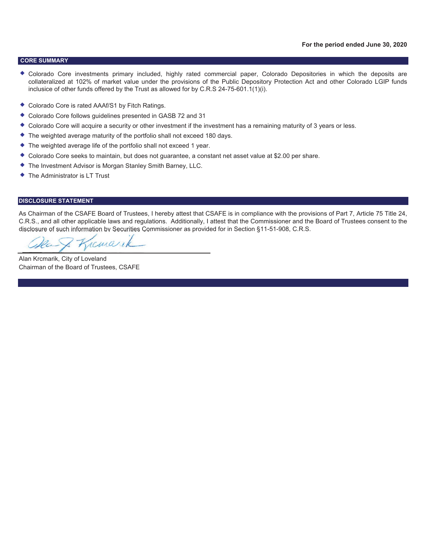#### **CORE SUMMARY**

- Colorado Core investments primary included, highly rated commercial paper, Colorado Depositories in which the deposits are collateralized at 102% of market value under the provisions of the Public Depository Protection Act and other Colorado LGIP funds inclusice of other funds offered by the Trust as allowed for by C.R.S 24-75-601.1(1)(i).
- Colorado Core is rated AAAf/S1 by Fitch Ratings.
- Colorado Core follows guidelines presented in GASB 72 and 31
- Colorado Core will acquire a security or other investment if the investment has a remaining maturity of 3 years or less.
- The weighted average maturity of the portfolio shall not exceed 180 days.
- The weighted average life of the portfolio shall not exceed 1 year.
- Colorado Core seeks to maintain, but does not guarantee, a constant net asset value at \$2.00 per share.
- The Investment Advisor is Morgan Stanley Smith Barney, LLC.
- ◆ The Administrator is LT Trust

### **DISCLOSURE STATEMENT**

As Chairman of the CSAFE Board of Trustees, I hereby attest that CSAFE is in compliance with the provisions of Part 7, Article 75 Title 24, C.R.S., and all other applicable laws and regulations. Additionally, I attest that the Commissioner and the Board of Trustees consent to the disclosure of such information by Securities Commissioner as provided for in Section §11-51-908, C.R.S.

remarik

Alan Krcmarik, City of Loveland Chairman of the Board of Trustees, CSAFE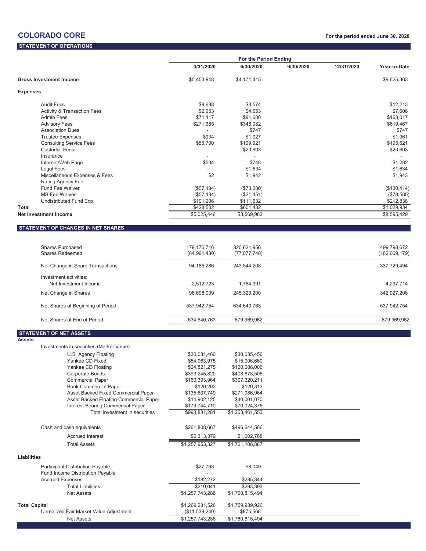# **COLORADO CORE**

## **STATEMENT OF OPERATIONS**

|                                           | For the Period Ending |             |           |            |              |
|-------------------------------------------|-----------------------|-------------|-----------|------------|--------------|
|                                           | 3/31/2020             | 6/30/2020   | 9/30/2020 | 12/31/2020 | Year-to-Date |
| <b>Gross Investment Income</b>            | \$5,453,948           | \$4,171,415 |           |            | \$9,625,363  |
| <b>Expenses</b>                           |                       |             |           |            |              |
| <b>Audit Fees</b>                         | \$8,638               | \$3,574     |           |            | \$12,213     |
| Activity & Transaction Fees               | \$2,953               | \$4,653     |           |            | \$7,606      |
| <b>Admin Fees</b>                         | \$71,417              | \$91,600    |           |            | \$163,017    |
| <b>Advisory Fees</b>                      | \$271,385             | \$348,082   |           |            | \$619,467    |
| <b>Association Dues</b>                   |                       | \$747       |           |            | \$747        |
| <b>Trustee Expenses</b>                   | \$934                 | \$1,027     |           |            | \$1,961      |
| <b>Consulting Service Fees</b>            | \$85,700              | \$109,921   |           |            | \$195,621    |
| <b>Custodial Fees</b>                     |                       | \$20,603    |           |            | \$20,603     |
| Insurance                                 |                       |             |           |            |              |
| Internet/Web Page                         | \$534                 | \$748       |           |            | \$1,282      |
| Legal Fees                                |                       | \$1,634     |           |            | \$1,634      |
| Miscellaneous Expenses & Fees             | \$2                   | \$1,942     |           |            | \$1,943      |
| Rating Agency Fee                         |                       |             |           |            |              |
| Fund Fee Waiver                           | (\$57,134)            | (\$73,280)  |           |            | (\$130,414)  |
| <b>MS Fee Waiver</b>                      | (\$57,134)            | (\$21,451)  |           |            | (\$78,585)   |
| <b>Undistributed Fund Exp</b>             | \$101,206             | \$111,632   |           |            | \$212,838    |
| <b>Total</b>                              | \$428,502             | \$601,432   |           |            | \$1,029,934  |
| <b>Net Investment Income</b>              | \$5,025,446           | \$3,569,983 |           |            | \$8,595,429  |
| <b>CTATEMENT OF CUANCES IN NET CUADES</b> |                       |             |           |            |              |

#### **EMENT OF CHANGES IN NET SHAR**

| Shares Purchased<br>Shares Redeemed             | 179.176.716<br>(84,991,430) | 320,621,956<br>(77,077,748) | 499.798.672<br>(162,069,179) |
|-------------------------------------------------|-----------------------------|-----------------------------|------------------------------|
| Net Change in Share Transactions                | 94,185,286                  | 243,544,208                 | 337,729,494                  |
| Investment activities:<br>Net Investment Income | 2,512,723                   | 1.784.991                   | 4,297,714                    |
| Net Change in Shares                            | 96,698,009                  | 245,329,200                 | 342,027,208                  |
| Net Shares at Beginning of Period               | 537,942,754                 | 634,640,763                 | 537,942,754                  |
| Net Shares at End of Period                     | 634,640,763                 | 879,969,962                 | 879,969,962                  |
|                                                 |                             |                             |                              |

| <b>STATEMENT OF NET ASSETS</b><br><b>Assets</b><br>Investments in securities (Market Value)<br>U.S. Agency Floating<br>\$30,031,460<br>\$30,035,450<br>Yankee CD Fixed<br>\$54,963,975<br>\$15,006,660<br>Yankee CD Floating<br>\$24,821,275<br>\$120,088,006<br>Corporate Bonds<br>\$393,245,820<br>\$408,878,505<br><b>Commercial Paper</b><br>\$160,393,964<br>\$307,320,211<br><b>Bank Commercial Paper</b><br>\$120,202<br>\$120,313<br>Asset Backed Fixed Commercial Paper<br>\$135,607,749<br>\$271,986,964<br>Asset Backed Floating Commercial Paper<br>\$40,001.070<br>\$14.902.125<br>Interest Bearing Commercial Paper<br>\$70,024,375<br>\$179,744,710<br>Total investment in securities<br>\$993,831,281<br>\$1,263,461,553<br>Cash and cash equivalents<br>\$261,808,667<br>\$496.644.566 |
|---------------------------------------------------------------------------------------------------------------------------------------------------------------------------------------------------------------------------------------------------------------------------------------------------------------------------------------------------------------------------------------------------------------------------------------------------------------------------------------------------------------------------------------------------------------------------------------------------------------------------------------------------------------------------------------------------------------------------------------------------------------------------------------------------------|
|                                                                                                                                                                                                                                                                                                                                                                                                                                                                                                                                                                                                                                                                                                                                                                                                         |
|                                                                                                                                                                                                                                                                                                                                                                                                                                                                                                                                                                                                                                                                                                                                                                                                         |
|                                                                                                                                                                                                                                                                                                                                                                                                                                                                                                                                                                                                                                                                                                                                                                                                         |
|                                                                                                                                                                                                                                                                                                                                                                                                                                                                                                                                                                                                                                                                                                                                                                                                         |
|                                                                                                                                                                                                                                                                                                                                                                                                                                                                                                                                                                                                                                                                                                                                                                                                         |
|                                                                                                                                                                                                                                                                                                                                                                                                                                                                                                                                                                                                                                                                                                                                                                                                         |
|                                                                                                                                                                                                                                                                                                                                                                                                                                                                                                                                                                                                                                                                                                                                                                                                         |
|                                                                                                                                                                                                                                                                                                                                                                                                                                                                                                                                                                                                                                                                                                                                                                                                         |
|                                                                                                                                                                                                                                                                                                                                                                                                                                                                                                                                                                                                                                                                                                                                                                                                         |
|                                                                                                                                                                                                                                                                                                                                                                                                                                                                                                                                                                                                                                                                                                                                                                                                         |
|                                                                                                                                                                                                                                                                                                                                                                                                                                                                                                                                                                                                                                                                                                                                                                                                         |
|                                                                                                                                                                                                                                                                                                                                                                                                                                                                                                                                                                                                                                                                                                                                                                                                         |
|                                                                                                                                                                                                                                                                                                                                                                                                                                                                                                                                                                                                                                                                                                                                                                                                         |
|                                                                                                                                                                                                                                                                                                                                                                                                                                                                                                                                                                                                                                                                                                                                                                                                         |
| <b>Accrued Interest</b><br>\$2,313,379<br>\$1,002,768                                                                                                                                                                                                                                                                                                                                                                                                                                                                                                                                                                                                                                                                                                                                                   |
| \$1,257,953,327<br><b>Total Assets</b><br>\$1,761,108,887                                                                                                                                                                                                                                                                                                                                                                                                                                                                                                                                                                                                                                                                                                                                               |
| Liabilities                                                                                                                                                                                                                                                                                                                                                                                                                                                                                                                                                                                                                                                                                                                                                                                             |
| <b>Participant Distribution Payable</b><br>\$8,049<br>\$27,768                                                                                                                                                                                                                                                                                                                                                                                                                                                                                                                                                                                                                                                                                                                                          |
| Fund Income Distribution Payable                                                                                                                                                                                                                                                                                                                                                                                                                                                                                                                                                                                                                                                                                                                                                                        |
| <b>Accrued Expenses</b><br>\$182,272<br>\$285,344                                                                                                                                                                                                                                                                                                                                                                                                                                                                                                                                                                                                                                                                                                                                                       |
| \$210,041<br>\$293,393<br><b>Total Liabilities</b>                                                                                                                                                                                                                                                                                                                                                                                                                                                                                                                                                                                                                                                                                                                                                      |
| <b>Net Assets</b><br>\$1,257,743,286<br>\$1,760,815,494                                                                                                                                                                                                                                                                                                                                                                                                                                                                                                                                                                                                                                                                                                                                                 |
| <b>Total Capital</b><br>\$1,269,281,526<br>\$1,759,939,926                                                                                                                                                                                                                                                                                                                                                                                                                                                                                                                                                                                                                                                                                                                                              |
| Unrealized Fair Market Value Adjustment<br>(\$11,538,240)<br>\$875,568                                                                                                                                                                                                                                                                                                                                                                                                                                                                                                                                                                                                                                                                                                                                  |
| <b>Net Assets</b><br>\$1,257,743,286<br>\$1,760,815,494                                                                                                                                                                                                                                                                                                                                                                                                                                                                                                                                                                                                                                                                                                                                                 |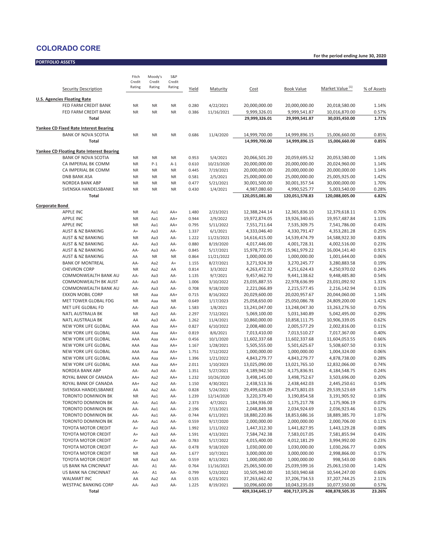## **COLORADO CORE**

**PORTFOLIO ASSETS**

| <b>Security Description</b>                                  | Fitch<br>Credit<br>Rating | Moody's<br>Credit<br>Rating | S&P<br>Credit<br>Rating | Yield          | Maturity                | Cost                            | <b>Book Value</b>               | Market Value <sup>(1)</sup>     | % of Assets     |
|--------------------------------------------------------------|---------------------------|-----------------------------|-------------------------|----------------|-------------------------|---------------------------------|---------------------------------|---------------------------------|-----------------|
| <b>U.S. Agencies Floating Rate</b>                           |                           |                             |                         |                |                         |                                 |                                 |                                 |                 |
| FED FARM CREDIT BANK                                         | <b>NR</b>                 | <b>NR</b>                   | <b>NR</b>               | 0.280          | 4/22/2021               | 20,000,000.00                   | 20,000,000.00                   | 20,018,580.00                   | 1.14%           |
| FED FARM CREDIT BANK                                         | <b>NR</b>                 | <b>NR</b>                   | <b>NR</b>               | 0.386          | 11/16/2021              | 9,999,326.01                    | 9,999,541.87                    | 10,016,870.00                   | 0.57%           |
| Total                                                        |                           |                             |                         |                |                         | 29,999,326.01                   | 29,999,541.87                   | 30,035,450.00                   | 1.71%           |
| Yankee CD Fixed Rate Interest Bearing                        |                           |                             |                         |                |                         |                                 |                                 |                                 |                 |
| <b>BANK OF NOVA SCOTIA</b>                                   | <b>NR</b>                 | <b>NR</b>                   | <b>NR</b>               | 0.686          | 11/4/2020               | 14,999,700.00                   | 14,999,896.15                   | 15,006,660.00                   | 0.85%           |
| <b>Total</b>                                                 |                           |                             |                         |                |                         | 14,999,700.00                   | 14.999.896.15                   | 15,006,660.00                   | 0.85%           |
| Yankee CD Floating Rate Interest Bearing                     |                           |                             |                         |                |                         |                                 |                                 |                                 |                 |
| <b>BANK OF NOVA SCOTIA</b>                                   | <b>NR</b>                 | <b>NR</b>                   | <b>NR</b>               | 0.953          | 5/4/2021                | 20,066,501.20                   | 20,059,695.52                   | 20,053,580.00                   | 1.14%           |
| CA IMPERIAL BK COMM                                          | <b>NR</b>                 | $P-1$                       | $A-1$                   | 0.610          | 10/23/2020              | 20,000,000.00                   | 20,000,000.00                   | 20,024,960.00                   | 1.14%           |
| CA IMPERIAL BK COMM                                          | <b>NR</b>                 | <b>NR</b>                   | <b>NR</b>               | 0.445          | 7/19/2021               | 20,000,000.00                   | 20,000,000.00                   | 20,000,000.00                   | 1.14%           |
| <b>DNB BANK ASA</b><br>NORDEA BANK ABP                       | <b>NR</b><br><b>NR</b>    | <b>NR</b><br><b>NR</b>      | <b>NR</b><br>NR         | 0.581<br>0.477 | 2/5/2021<br>5/21/2021   | 25,000,000.00<br>30,001,500.00  | 25,000,000.00<br>30,001,357.54  | 25,005,925.00<br>30,000,000.00  | 1.42%<br>1.70%  |
| SVENSKA HANDELSBANKE                                         | <b>NR</b>                 | <b>NR</b>                   | <b>NR</b>               | 0.430          | 1/4/2021                | 4,987,080.60                    | 4,990,525.77                    | 5,003,540.00                    | 0.28%           |
| Total                                                        |                           |                             |                         |                |                         | 120,055,081.80                  | 120,051,578.83                  | 120,088,005.00                  | 6.82%           |
| Corporate Bond                                               |                           |                             |                         |                |                         |                                 |                                 |                                 |                 |
| <b>APPLE INC</b>                                             | <b>NR</b>                 | Aa1                         | AA+                     | 1.480          | 2/23/2021               | 12,388,244.14                   | 12,365,836.10                   | 12,379,618.11                   | 0.70%           |
| <b>APPLE INC</b>                                             | <b>NR</b>                 | Aa1                         | AA+                     | 0.944          | 2/9/2022                | 19,972,874.05                   | 19,926,340.65                   | 19,957,487.84                   | 1.13%           |
| <b>APPLE INC</b>                                             | <b>NR</b>                 | Aa1                         | AA+                     | 0.795          | 5/11/2022               | 7,551,711.64                    | 7,535,309.75                    | 7,541,786.00                    | 0.43%           |
| <b>AUST &amp; NZ BANKING</b>                                 | $A+$                      | Aa3                         | AA-                     | 1.337          | 6/1/2021                | 4,333,046.40                    | 4,330,791.47                    | 4,353,281.28                    | 0.25%           |
| <b>AUST &amp; NZ BANKING</b>                                 | <b>NR</b>                 | Aa3                         | AA-                     | 1.222          | 11/23/2021              | 14,616,415.00                   | 14,539,474.79                   | 14,588,922.30                   | 0.83%           |
| <b>AUST &amp; NZ BANKING</b>                                 | AA-                       | Aa3                         | AA-                     | 0.880          | 8/19/2020               | 4,017,446.00                    | 4,001,728.31                    | 4,002,516.00                    | 0.23%           |
| <b>AUST &amp; NZ BANKING</b><br><b>AUST &amp; NZ BANKING</b> | AA-                       | Aa3                         | AA-                     | 0.845          | 5/17/2021               | 15,978,772.95                   | 15,961,979.22                   | 16,004,141.40                   | 0.91%<br>0.06%  |
| <b>BANK OF MONTREAL</b>                                      | AA<br>AA-                 | <b>NR</b><br>Aa2            | <b>NR</b><br>A+         | 0.864<br>1.155 | 11/21/2022<br>8/27/2021 | 1,000,000.00<br>3,271,924.39    | 1,000,000.00<br>3,270,245.77    | 1,001,644.00<br>3,280,883.58    | 0.19%           |
| <b>CHEVRON CORP</b>                                          | <b>NR</b>                 | Aa2                         | AA                      | 0.814          | 3/3/2022                | 4,263,472.32                    | 4,251,624.43                    | 4,250,970.02                    | 0.24%           |
| COMMONWEALTH BANK AU                                         | AA-                       | Aa3                         | AA-                     | 1.135          | 9/7/2021                | 9,457,462.70                    | 9,441,138.62                    | 9,448,485.80                    | 0.54%           |
| COMMONWEALTH BK AUST                                         | AA-                       | Aa3                         | AA-                     | 1.006          | 3/10/2022               | 23,035,887.55                   | 22,978,636.99                   | 23,031,092.92                   | 1.31%           |
| COMMONWEALTH BANK AU                                         | AA-                       | Aa3                         | AA-                     | 0.708          | 9/18/2020               | 2,221,066.89                    | 2,215,577.45                    | 2,216,142.94                    | 0.13%           |
| <b>EXXON MOBIL CORP</b>                                      | <b>NR</b>                 | Aaa                         | AA+                     | 0.715          | 8/16/2022               | 20,029,600.00                   | 20,020,957.67                   | 20,044,060.00                   | 1.14%           |
| MET TOWER GLOBAL FDG                                         | <b>NR</b>                 | Aaa                         | <b>NR</b>               | 0.649          | 1/17/2023               | 25,058,650.00                   | 25,050,086.78                   | 24,809,200.00                   | 1.42%           |
| MET LIFE GLOBAL FD                                           | AA-                       | Aa3                         | AA-                     | 1.583          | 1/8/2021                | 13,241,047.00                   | 13,248,047.30                   | 13,263,276.50                   | 0.75%           |
| NATL AUSTRALIA BK                                            | <b>NR</b>                 | Aa3                         | AA-                     | 2.297          | 7/12/2021               | 5,069,100.00                    | 5,031,340.89                    | 5,042,495.00                    | 0.29%           |
| NATL AUSTRALIA BK                                            | AA                        | Aa3                         | AA-                     | 1.262          | 11/4/2021               | 10,860,000.00                   | 10,858,111.75                   | 10,906,339.05                   | 0.62%           |
| NEW YORK LIFE GLOBAL<br>NEW YORK LIFE GLOBAL                 | AAA<br>AAA                | Aaa                         | AA+<br>AA+              | 0.827<br>0.819 | 6/10/2022<br>8/6/2021   | 2,008,480.00                    | 2,005,577.29<br>7,013,510.27    | 2,002,816.00<br>7,017,367.00    | 0.11%<br>0.40%  |
| NEW YORK LIFE GLOBAL                                         | AAA                       | Aaa<br>Aaa                  | AA+                     | 0.456          | 10/1/2020               | 7,013,410.00<br>11,602,337.68   | 11,602,337.68                   | 11,604,053.55                   | 0.66%           |
| NEW YORK LIFE GLOBAL                                         | AAA                       | Aaa                         | AA+                     | 1.167          | 1/28/2021               | 5,505,555.00                    | 5,501,625.67                    | 5,508,607.50                    | 0.31%           |
| NEW YORK LIFE GLOBAL                                         | AAA                       | Aaa                         | AA+                     | 1.751          | 7/12/2022               | 1,000,000.00                    | 1,000,000.00                    | 1,004,324.00                    | 0.06%           |
| NEW YORK LIFE GLOBAL                                         | AAA                       | Aaa                         | AA+                     | 1.396          | 1/21/2022               | 4,843,279.77                    | 4,843,279.77                    | 4,878,738.00                    | 0.28%           |
| NEW YORK LIFE GLOBAL                                         | AAA                       | Aaa                         | AA+                     | 2.011          | 1/10/2023               | 13,025,090.00                   | 13,021,765.10                   | 12,832,066.00                   | 0.74%           |
| NORDEA BANK ABP                                              | AA-                       | Aa3                         | AA-                     | 1.351          | 5/27/2021               | 4,189,942.50                    | 4,175,836.91                    | 4,184,548.75                    | 0.24%           |
| ROYAL BANK OF CANADA                                         | AA+                       | Aa2                         | AA+                     | 1.232          | 10/26/2020              | 3,498,145.00                    | 3,498,752.67                    | 3,503,696.00                    | 0.20%           |
| ROYAL BANK OF CANADA                                         | AA+                       | Aa2                         | AA-                     | 1.150          | 4/30/2021               | 2,438,513.36                    | 2,438,442.03                    | 2,445,250.61                    | 0.14%           |
| SVENSKA HANDELSBANKE                                         | AA                        | Aa2                         | AA-                     | 0.828          | 5/24/2021               | 29,499,628.09                   | 29,473,801.03                   | 29,539,523.69                   | 1.67%           |
| TORONTO DOMINION BK                                          | <b>NR</b>                 | Aa1                         | AA-                     | 1.239          | 12/14/2020              | 3,220,379.40                    | 3,190,854.58                    | 3,191,905.92                    | 0.18%           |
| TORONTO DOMINION BK<br>TORONTO DOMINION BK                   | AA-                       | Aa1                         | AA-                     | 2.373          | 4/7/2021                | 1,184,936.00                    | 1,175,217.78                    | 1,175,906.19                    | 0.07%           |
| TORONTO DOMINION BK                                          | AA-<br>AA-                | Aa1<br>Aa1                  | AA-<br>AA-              | 2.196<br>0.744 | 7/13/2021<br>6/11/2021  | 2,048,849.38<br>18,880,220.86   | 2,034,924.69<br>18,853,686.16   | 2,036,923.46<br>18,889,385.70   | 0.12%<br>1.07%  |
| TORONTO DOMINION BK                                          | AA-                       | Aa1                         | AA-                     | 0.559          | 9/17/2020               | 2,000,000.00                    | 2,000,000.00                    | 2,000,706.00                    | 0.11%           |
| TOYOTA MOTOR CREDIT                                          | $A+$                      | Aa3                         | AA-                     | 1.992          | 1/11/2022               | 1,447,312.30                    | 1,441,827.95                    | 1,443,129.28                    | 0.08%           |
| TOYOTA MOTOR CREDIT                                          | $A+$                      | Aa3                         | AA-                     | 1.591          | 4/13/2021               | 7,584,742.38                    | 7,583,017.05                    | 7,581,855.94                    | 0.43%           |
| <b>TOYOTA MOTOR CREDIT</b>                                   | A+                        | Aa3                         | AA-                     | 0.783          | 5/17/2022               | 4,015,400.00                    | 4,012,181.29                    | 3,994,992.00                    | 0.23%           |
| TOYOTA MOTOR CREDIT                                          | $A+$                      | Aa3                         | AA-                     | 0.478          | 9/18/2020               | 1,030,000.00                    | 1,030,000.00                    | 1,030,266.77                    | 0.06%           |
| <b>TOYOTA MOTOR CREDIT</b>                                   | <b>NR</b>                 | Aa3                         | AA-                     | 1.677          | 10/7/2021               | 3,000,000.00                    | 3,000,000.00                    | 2,998,866.00                    | 0.17%           |
| TOYOTA MOTOR CREDIT                                          | <b>NR</b>                 | АаЗ                         | AA-                     | 0.559          | 8/13/2021               | 1,000,000.00                    | 1,000,000.00                    | 998,543.00                      | 0.06%           |
| US BANK NA CINCINNAT                                         | AA-                       | A1                          | AA-                     | 0.764          | 11/16/2021              | 25,065,500.00                   | 25,039,599.16                   | 25,063,150.00                   | 1.42%           |
| US BANK NA CINCINNAT                                         | AA-                       | A1                          | AA-                     | 0.799          | 5/23/2022               | 10,505,940.00                   | 10,503,940.68                   | 10,544,247.00                   | 0.60%           |
| <b>WALMART INC</b>                                           | AA                        | Aa2                         | AA                      | 0.535          | 6/23/2021               | 37,263,662.42                   | 37,206,734.53                   | 37,207,744.25                   | 2.11%           |
| <b>WESTPAC BANKING CORP</b><br><b>Total</b>                  | AA-                       | Aa3                         | AA-                     | 1.225          | 8/19/2021               | 10,096,600.00<br>409,334,645.17 | 10,043,235.03<br>408,717,375.26 | 10,077,550.00<br>408,878,505.35 | 0.57%<br>23.26% |
|                                                              |                           |                             |                         |                |                         |                                 |                                 |                                 |                 |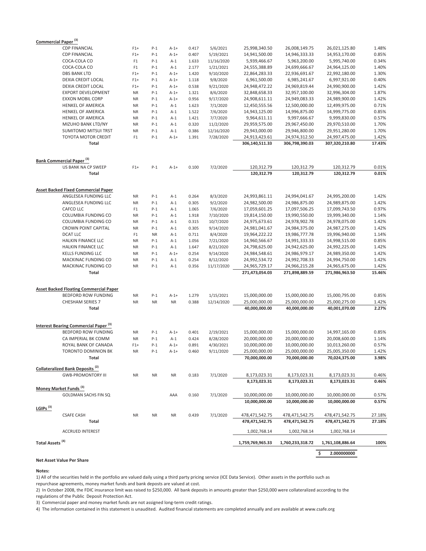| Commercial Paper <sup>(3)</sup> |                                                  |                |           |           |       |            |                                |                                |                                |                |
|---------------------------------|--------------------------------------------------|----------------|-----------|-----------|-------|------------|--------------------------------|--------------------------------|--------------------------------|----------------|
|                                 | <b>CDP FINANCIAL</b>                             | $F1+$          | $P-1$     | $A - 1 +$ | 0.417 | 5/6/2021   | 25,998,340.50                  | 26,008,149.75                  | 26,021,125.80                  | 1.48%          |
|                                 | <b>CDP FINANCIAL</b>                             | $F1+$          | $P-1$     | $A - 1 +$ | 0.407 | 5/19/2021  | 14,941,500.00                  | 14,946,333.33                  | 14,953,170.00                  | 0.85%          |
|                                 | COCA-COLA CO                                     | F <sub>1</sub> | $P-1$     | $A-1$     | 1.633 | 11/16/2020 | 5,939,466.67                   | 5,963,200.00                   | 5,995,740.00                   | 0.34%          |
|                                 | COCA-COLA CO                                     | F <sub>1</sub> | $P-1$     | $A-1$     | 2.177 | 1/21/2021  | 24,555,388.89                  | 24,699,666.67                  | 24,964,125.00                  | 1.40%          |
|                                 | <b>DBS BANK LTD</b>                              | $F1+$          | $P-1$     | $A - 1 +$ | 1.420 | 9/10/2020  | 22,864,283.33                  | 22,936,691.67                  | 22,992,180.00                  | 1.30%          |
|                                 | DEXIA CREDIT LOCAL                               | $F1+$          | $P-1$     | $A - 1 +$ | 1.118 | 9/8/2020   | 6,961,500.00                   | 6,985,241.67                   | 6,997,921.00                   | 0.40%          |
|                                 | <b>DEXIA CREDIT LOCAL</b>                        | $F1+$          | $P-1$     | $A-1+$    | 0.538 | 9/21/2020  | 24,948,472.22                  | 24,969,819.44                  | 24,990,900.00                  | 1.42%          |
|                                 | <b>EXPORT DEVELOPMENT</b>                        | <b>NR</b>      | $P-1$     | $A-1+$    | 1.321 | 8/6/2020   | 32,848,658.33                  | 32,957,100.00                  | 32,996,304.00                  | 1.87%          |
|                                 | <b>EXXON MOBIL CORP</b>                          | <b>NR</b>      | $P-1$     | $A-1+$    | 0.956 | 9/17/2020  | 24,908,611.11                  | 24,949,083.33                  | 24,989,900.00                  | 1.42%          |
|                                 | <b>HENKEL OF AMERICA</b>                         | <b>NR</b>      | $P-1$     | $A-1$     | 1.623 | 7/1/2020   | 12,450,555.56                  | 12,500,000.00                  | 12,499,975.00                  | 0.71%          |
|                                 | <b>HENKEL OF AMERICA</b>                         |                |           |           |       |            |                                |                                |                                |                |
|                                 |                                                  | <b>NR</b>      | $P-1$     | $A-1$     | 1.522 | 7/6/2020   | 14,943,125.00                  | 14,996,875.00                  | 14,999,775.00                  | 0.85%          |
|                                 | HENKEL OF AMERICA                                | <b>NR</b>      | $P-1$     | $A-1$     | 1.421 | 7/7/2020   | 9,964,611.11                   | 9,997,666.67                   | 9,999,830.00                   | 0.57%          |
|                                 | MIZUHO BANK LTD/NY                               | <b>NR</b>      | $P-1$     | $A-1$     | 0.320 | 11/2/2020  | 29,959,575.00                  | 29,967,450.00                  | 29,970,510.00                  | 1.70%          |
|                                 | SUMITOMO MITSUI TRST                             | <b>NR</b>      | $P-1$     | $A-1$     | 0.386 | 12/16/2020 | 29,943,000.00                  | 29,946,800.00                  | 29,951,280.00                  | 1.70%          |
|                                 | TOYOTA MOTOR CREDIT                              | F <sub>1</sub> | $P-1$     | $A-1+$    | 1.391 | 7/28/2020  | 24,913,423.61                  | 24,974,312.50                  | 24,997,475.00                  | 1.42%          |
|                                 | <b>Total</b>                                     |                |           |           |       |            | 306,140,511.33                 | 306,798,390.03                 | 307,320,210.80                 | 17.43%         |
|                                 |                                                  |                |           |           |       |            |                                |                                |                                |                |
|                                 | <b>Bank Commercial Paper<sup>(3)</sup></b>       |                |           |           |       |            |                                |                                |                                |                |
|                                 | US BANK NA CP SWEEP                              | $F1+$          | $P-1$     | $A - 1 +$ | 0.100 | 7/2/2020   | 120,312.79                     | 120,312.79                     | 120,312.79                     | 0.01%          |
|                                 | <b>Total</b>                                     |                |           |           |       |            | 120,312.79                     | 120,312.79                     | 120,312.79                     | 0.01%          |
|                                 | <b>Asset Backed Fixed Commercial Paper</b>       |                |           |           |       |            |                                |                                |                                |                |
|                                 | ANGLESEA FUNDING LLC                             | <b>NR</b>      | $P-1$     | $A-1$     | 0.264 | 8/3/2020   | 24,993,861.11                  | 24,994,041.67                  | 24,995,200.00                  | 1.42%          |
|                                 | ANGLESEA FUNDING LLC                             | <b>NR</b>      | $P-1$     | $A-1$     | 0.305 | 9/2/2020   | 24,982,500.00                  | 24,986,875.00                  | 24,989,875.00                  | 1.42%          |
|                                 | CAFCO LLC                                        | F <sub>1</sub> | $P-1$     | $A-1$     | 1.065 | 7/6/2020   | 17,059,601.25                  | 17,097,506.25                  | 17,099,743.50                  | 0.97%          |
|                                 | COLUMBIA FUNDING CO                              | <b>NR</b>      | $P-1$     | $A-1$     | 1.918 | 7/10/2020  | 19,814,150.00                  | 19,990,550.00                  | 19,999,340.00                  | 1.14%          |
|                                 | COLUMBIA FUNDING CO                              | <b>NR</b>      | $P-1$     | $A-1$     | 0.315 | 10/7/2020  | 24,975,673.61                  | 24,978,902.78                  | 24,978,075.00                  | 1.42%          |
|                                 | <b>CROWN POINT CAPITAL</b>                       | <b>NR</b>      | $P-1$     |           |       |            |                                | 24,984,375.00                  |                                | 1.42%          |
|                                 |                                                  |                |           | $A-1$     | 0.305 | 9/14/2020  | 24,981,041.67                  |                                | 24,987,275.00                  |                |
|                                 | <b>DCAT LLC</b>                                  | F <sub>1</sub> | <b>NR</b> | $A-1$     | 0.711 | 8/4/2020   | 19,964,222.22                  | 19,986,777.78                  | 19,996,940.00                  | 1.14%          |
|                                 | HALKIN FINANCE LLC                               | <b>NR</b>      | $P-1$     | $A-1$     | 1.056 | 7/21/2020  | 14,960,566.67                  | 14,991,333.33                  | 14,998,515.00                  | 0.85%          |
|                                 | <b>HALKIN FINANCE LLC</b>                        | <b>NR</b>      | $P-1$     | $A-1$     | 1.647 | 8/21/2020  | 24,798,625.00                  | 24,942,625.00                  | 24,992,225.00                  | 1.42%          |
|                                 | <b>KELLS FUNDING LLC</b>                         | <b>NR</b>      | $P-1$     | $A-1+$    | 0.254 | 9/14/2020  | 24,984,548.61                  | 24,986,979.17                  | 24,989,350.00                  | 1.42%          |
|                                 | MACKINAC FUNDING CO                              | <b>NR</b>      | $P-1$     | $A-1$     | 0.254 | 8/12/2020  | 24,992,534.72                  | 24,992,708.33                  | 24,994,750.00                  | 1.42%          |
|                                 | MACKINAC FUNDING CO                              | <b>NR</b>      | $P-1$     | $A-1$     | 0.356 | 11/17/2020 | 24,965,729.17                  | 24,966,215.28                  | 24,965,675.00                  | 1.42%          |
|                                 | Total                                            |                |           |           |       |            | 271,473,054.03                 | 271,898,889.59                 | 271,986,963.50                 | 15.46%         |
|                                 | <b>Asset Backed Floating Commercial Paper</b>    |                |           |           |       |            |                                |                                |                                |                |
|                                 | <b>BEDFORD ROW FUNDING</b>                       |                | $P-1$     |           |       | 1/15/2021  | 15,000,000.00                  | 15,000,000.00                  | 15,000,795.00                  | 0.85%          |
|                                 |                                                  | <b>NR</b>      |           | $A - 1 +$ | 1.279 |            |                                |                                |                                |                |
|                                 | <b>CHESHAM SERIES 7</b><br><b>Total</b>          | <b>NR</b>      | <b>NR</b> | <b>NR</b> | 0.388 | 12/14/2020 | 25,000,000.00<br>40,000,000.00 | 25,000,000.00<br>40,000,000.00 | 25,000,275.00<br>40,001,070.00 | 1.42%<br>2.27% |
|                                 |                                                  |                |           |           |       |            |                                |                                |                                |                |
|                                 | Interest Bearing Commercial Paper <sup>(3)</sup> |                |           |           |       |            |                                |                                |                                |                |
|                                 | <b>BEDFORD ROW FUNDING</b>                       | NR             | $P-1$     | $A - 1 +$ | 0.401 | 2/19/2021  | 15,000,000.00                  | 15,000,000.00                  | 14,997,165.00                  | 0.85%          |
|                                 | CA IMPERIAL BK COMM                              | <b>NR</b>      | $P-1$     | $A-1$     | 0.424 | 8/28/2020  | 20,000,000.00                  | 20,000,000.00                  | 20,008,600.00                  | 1.14%          |
|                                 | ROYAL BANK OF CANADA                             | $F1+$          | $P-1$     | $A - 1 +$ | 0.891 | 4/30/2021  | 10,000,000.00                  | 10,000,000.00                  | 10,013,260.00                  | 0.57%          |
|                                 | TORONTO DOMINION BK                              | <b>NR</b>      | $P-1$     | $A-1+$    | 0.460 | 9/11/2020  | 25,000,000.00                  | 25,000,000.00                  | 25,005,350.00                  | 1.42%          |
|                                 | Total                                            |                |           |           |       |            | 70.000.000.00                  | 70,000,000.00                  | 70,024,375.00                  | 3.98%          |
|                                 | Collateralized Bank Deposits <sup>(2)</sup>      |                |           |           |       |            |                                |                                |                                |                |
|                                 | <b>GWB-PROMONTORY III</b>                        | <b>NR</b>      | <b>NR</b> | <b>NR</b> | 0.183 | 7/1/2020   | 8,173,023.31                   | 8,173,023.31                   | 8,173,023.31                   | 0.46%          |
|                                 |                                                  |                |           |           |       |            | 8,173,023.31                   | 8,173,023.31                   | 8,173,023.31                   | 0.46%          |
|                                 | Money Market Funds <sup>(3)</sup>                |                |           |           |       |            |                                |                                |                                |                |
|                                 | <b>GOLDMAN SACHS FIN SQ</b>                      |                |           | AAA       | 0.160 | 7/1/2020   | 10,000,000.00                  | 10,000,000.00                  | 10,000,000.00                  | 0.57%          |
|                                 |                                                  |                |           |           |       |            | 10,000,000.00                  | 10,000,000.00                  | 10,000,000.00                  | 0.57%          |
| $LGIPS$ <sup>(3)</sup>          |                                                  |                |           |           |       |            |                                |                                |                                |                |
|                                 | <b>CSAFE CASH</b>                                | <b>NR</b>      | <b>NR</b> | <b>NR</b> | 0.439 | 7/1/2020   | 478,471,542.75                 | 478,471,542.75                 | 478,471,542.75                 | 27.18%         |
|                                 | <b>Total</b>                                     |                |           |           |       |            | 478,471,542.75                 | 478,471,542.75                 | 478,471,542.75                 | 27.18%         |
|                                 | <b>ACCRUED INTEREST</b>                          |                |           |           |       |            | 1,002,768.14                   | 1,002,768.14                   | 1,002,768.14                   |                |
| Total Assets <sup>(4)</sup>     |                                                  |                |           |           |       |            | 1,759,769,965.33               | 1,760,233,318.72               | 1,761,108,886.64               | 100%           |
|                                 |                                                  |                |           |           |       |            |                                |                                | \$<br>2.000000000              |                |
|                                 |                                                  |                |           |           |       |            |                                |                                |                                |                |

#### **Net Asset Value Per Share**

#### **Notes:**

1) All of the securities held in the portfolio are valued daily using a third party pricing service (ICE Data Service). Other assets in the portfolio such as repurchase agreements, money market funds and bank deposts are valued at cost.

2) In October 2008, the FDIC insurance limit was raised to \$250,000. All bank deposits in amounts greater than \$250,000 were collateralized according to the regulations of the Public Deposit Protection Act.

3) Commercial paper and money market funds are not assigned long-term credit ratings.

4) The information contained in this statement is unaudited. Audited financial statements are completed annually and are available at www.csafe.org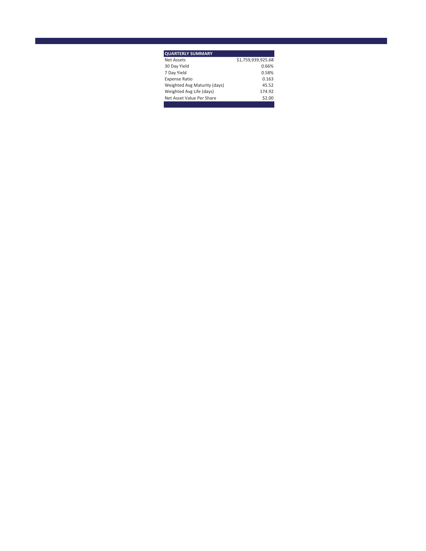| <b>QUARTERLY SUMMARY</b>     |                    |
|------------------------------|--------------------|
| <b>Net Assets</b>            | \$1,759,939,925.68 |
| 30 Day Yield                 | 0.66%              |
| 7 Day Yield                  | 0.58%              |
| <b>Expense Ratio</b>         | 0.163              |
| Weighted Avg Maturity (days) | 45.52              |
| Weighted Avg Life (days)     | 174.92             |
| Net Asset Value Per Share    | \$2.00             |
|                              |                    |